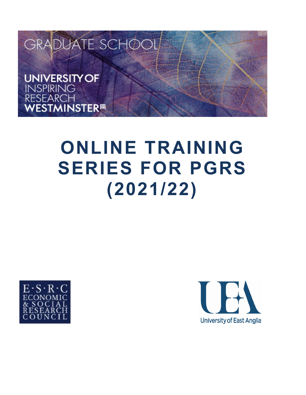

# **ONLINE TRAINING SERIES FOR PGRS (2021/22)**



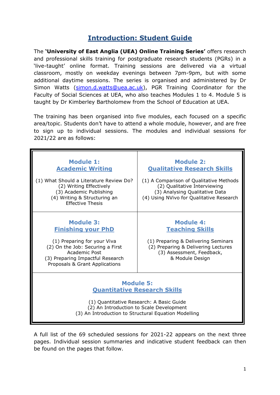## **Introduction: Student Guide**

The **'University of East Anglia (UEA) Online Training Series'** offers research and professional skills training for postgraduate research students (PGRs) in a 'live-taught' online format. Training sessions are delivered via a virtual classroom, mostly on weekday evenings between 7pm-9pm, but with some additional daytime sessions. The series is organised and administered by Dr Simon Watts [\(simon.d.watts@uea.ac.uk\)](mailto:simon.d.watts@uea.ac.uk), PGR Training Coordinator for the Faculty of Social Sciences at UEA, who also teaches Modules 1 to 4. Module 5 is taught by Dr Kimberley Bartholomew from the School of Education at UEA.

The training has been organised into five modules, each focused on a specific area/topic. Students don't have to attend a whole module, however, and are free to sign up to individual sessions. The modules and individual sessions for 2021/22 are as follows:

| <b>Module 1:</b><br><b>Academic Writing</b><br>(1) What Should a Literature Review Do?<br>(2) Writing Effectively<br>(3) Academic Publishing<br>(4) Writing & Structuring an<br><b>Effective Thesis</b> | <b>Module 2:</b><br><b>Oualitative Research Skills</b><br>(1) A Comparison of Qualitative Methods<br>(2) Qualitative Interviewing<br>(3) Analysing Qualitative Data<br>(4) Using NVivo for Qualitative Research |  |  |
|---------------------------------------------------------------------------------------------------------------------------------------------------------------------------------------------------------|-----------------------------------------------------------------------------------------------------------------------------------------------------------------------------------------------------------------|--|--|
| <b>Module 3:</b><br><b>Finishing your PhD</b><br>(1) Preparing for your Viva<br>(2) On the Job: Securing a First<br>Academic Post<br>(3) Preparing Impactful Research<br>Proposals & Grant Applications | <b>Module 4:</b><br><b>Teaching Skills</b><br>(1) Preparing & Delivering Seminars<br>(2) Preparing & Delivering Lectures<br>(3) Assessment, Feedback,<br>& Module Design                                        |  |  |
| <b>Module 5:</b><br><b>Quantitative Research Skills</b><br>(1) Quantitative Research: A Basic Guide<br>(2) An Introduction to Scale Development<br>(3) An Introduction to Structural Equation Modelling |                                                                                                                                                                                                                 |  |  |

A full list of the 69 scheduled sessions for 2021-22 appears on the next three pages. Individual session summaries and indicative student feedback can then be found on the pages that follow.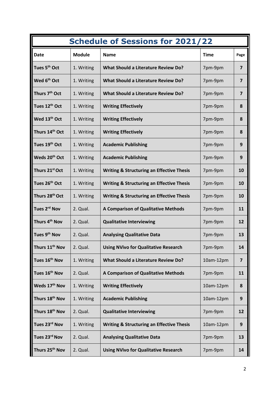| <b>Schedule of Sessions for 2021/22</b> |               |                                                      |             |                         |  |  |
|-----------------------------------------|---------------|------------------------------------------------------|-------------|-------------------------|--|--|
| <b>Date</b>                             | <b>Module</b> | <b>Name</b>                                          | <b>Time</b> | Page                    |  |  |
| Tues 5 <sup>th</sup> Oct                | 1. Writing    | <b>What Should a Literature Review Do?</b>           | 7pm-9pm     | $\overline{\mathbf{z}}$ |  |  |
| Wed 6 <sup>th</sup> Oct                 | 1. Writing    | <b>What Should a Literature Review Do?</b>           | 7pm-9pm     | $\overline{\mathbf{z}}$ |  |  |
| Thurs 7 <sup>th</sup> Oct               | 1. Writing    | <b>What Should a Literature Review Do?</b>           | 7pm-9pm     | $\overline{\mathbf{z}}$ |  |  |
| Tues 12th Oct                           | 1. Writing    | <b>Writing Effectively</b>                           | 7pm-9pm     | 8                       |  |  |
| Wed 13 <sup>th</sup> Oct                | 1. Writing    | <b>Writing Effectively</b>                           | 7pm-9pm     | 8                       |  |  |
| Thurs 14th Oct                          | 1. Writing    | <b>Writing Effectively</b>                           | 7pm-9pm     | 8                       |  |  |
| Tues 19th Oct                           | 1. Writing    | <b>Academic Publishing</b>                           | 7pm-9pm     | $\boldsymbol{9}$        |  |  |
| Weds 20 <sup>th</sup> Oct               | 1. Writing    | <b>Academic Publishing</b>                           | 7pm-9pm     | 9                       |  |  |
| Thurs 21st Oct                          | 1. Writing    | <b>Writing &amp; Structuring an Effective Thesis</b> | 7pm-9pm     | 10                      |  |  |
| Tues 26 <sup>th</sup> Oct               | 1. Writing    | <b>Writing &amp; Structuring an Effective Thesis</b> | 7pm-9pm     | 10                      |  |  |
| Thurs 28th Oct                          | 1. Writing    | <b>Writing &amp; Structuring an Effective Thesis</b> | 7pm-9pm     | 10                      |  |  |
| Tues 2 <sup>rd</sup> Nov                | 2. Qual.      | A Comparison of Qualitative Methods                  | 7pm-9pm     | 11                      |  |  |
| Thurs 4 <sup>th</sup> Nov               | 2. Qual.      | <b>Qualitative Interviewing</b>                      | 7pm-9pm     | 12                      |  |  |
| Tues 9th Nov                            | 2. Qual.      | <b>Analysing Qualitative Data</b>                    | 7pm-9pm     | 13                      |  |  |
| Thurs 11 <sup>th</sup> Nov              | 2. Qual.      | <b>Using NVivo for Qualitative Research</b>          | 7pm-9pm     | 14                      |  |  |
| Tues 16 <sup>th</sup> Nov               | 1. Writing    | <b>What Should a Literature Review Do?</b>           | 10am-12pm   | $\overline{\mathbf{z}}$ |  |  |
| Tues 16 <sup>th</sup> Nov               | 2. Qual.      | A Comparison of Qualitative Methods                  | 7pm-9pm     | 11                      |  |  |
| Weds 17 <sup>th</sup> Nov               | 1. Writing    | <b>Writing Effectively</b>                           | 10am-12pm   | 8                       |  |  |
| Thurs 18 <sup>th</sup> Nov              | 1. Writing    | <b>Academic Publishing</b>                           | 10am-12pm   | $\mathbf{9}$            |  |  |
| Thurs 18 <sup>th</sup> Nov              | 2. Qual.      | <b>Qualitative Interviewing</b>                      | 7pm-9pm     | 12                      |  |  |
| Tues 23rd Nov                           | 1. Writing    | <b>Writing &amp; Structuring an Effective Thesis</b> | 10am-12pm   | 9                       |  |  |
| Tues 23rd Nov                           | 2. Qual.      | <b>Analysing Qualitative Data</b>                    | 7pm-9pm     | 13                      |  |  |
| Thurs 25 <sup>th</sup> Nov              | 2. Qual.      | <b>Using NVivo for Qualitative Research</b>          | 7pm-9pm     | 14                      |  |  |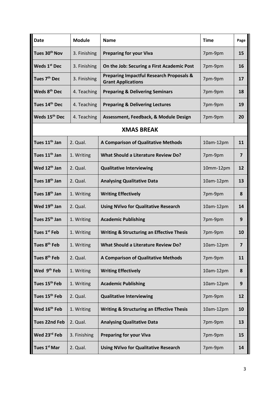| <b>Date</b>               | <b>Module</b> | <b>Name</b>                                                                      | <b>Time</b> | Page                    |
|---------------------------|---------------|----------------------------------------------------------------------------------|-------------|-------------------------|
| Tues 30 <sup>th</sup> Nov | 3. Finishing  | <b>Preparing for your Viva</b>                                                   | 7pm-9pm     | 15                      |
| Weds 1 <sup>st</sup> Dec  | 3. Finishing  | On the Job: Securing a First Academic Post                                       | 7pm-9pm     | 16                      |
| Tues 7 <sup>th</sup> Dec  | 3. Finishing  | <b>Preparing Impactful Research Proposals &amp;</b><br><b>Grant Applications</b> | 7pm-9pm     | 17                      |
| Weds 8 <sup>th</sup> Dec  | 4. Teaching   | <b>Preparing &amp; Delivering Seminars</b>                                       | 7pm-9pm     | 18                      |
| Tues 14th Dec             | 4. Teaching   | <b>Preparing &amp; Delivering Lectures</b>                                       | 7pm-9pm     | 19                      |
| Weds 15 <sup>th</sup> Dec | 4. Teaching   | Assessment, Feedback, & Module Design                                            | 7pm-9pm     | 20                      |
|                           |               | <b>XMAS BREAK</b>                                                                |             |                         |
| Tues 11 <sup>th</sup> Jan | 2. Qual.      | <b>A Comparison of Qualitative Methods</b>                                       | 10am-12pm   | 11                      |
| Tues 11 <sup>th</sup> Jan | 1. Writing    | <b>What Should a Literature Review Do?</b>                                       | 7pm-9pm     | $\overline{\mathbf{z}}$ |
| Wed 12 <sup>th</sup> Jan  | 2. Qual.      | <b>Qualitative Interviewing</b>                                                  | 10mm-12pm   | 12                      |
| Tues 18 <sup>th</sup> Jan | 2. Qual.      | <b>Analysing Qualitative Data</b>                                                | 10am-12pm   | 13                      |
| Tues 18 <sup>th</sup> Jan | 1. Writing    | <b>Writing Effectively</b>                                                       | 7pm-9pm     | 8                       |
| Wed 19 <sup>th</sup> Jan  | 2. Qual.      | <b>Using NVivo for Qualitative Research</b>                                      | 10am-12pm   | 14                      |
| Tues 25 <sup>th</sup> Jan | 1. Writing    | <b>Academic Publishing</b>                                                       | 7pm-9pm     | 9                       |
| Tues 1 <sup>st</sup> Feb  | 1. Writing    | <b>Writing &amp; Structuring an Effective Thesis</b>                             | 7pm-9pm     | 10                      |
| Tues 8 <sup>th</sup> Feb  | 1. Writing    | <b>What Should a Literature Review Do?</b>                                       | 10am-12pm   | 7                       |
| Tues 8 <sup>th</sup> Feb  | 2. Qual.      | A Comparison of Qualitative Methods                                              | 7pm-9pm     | 11                      |
| Wed 9 <sup>th</sup> Feb   | 1. Writing    | <b>Writing Effectively</b>                                                       | 10am-12pm   | 8                       |
| Tues 15 <sup>th</sup> Feb | 1. Writing    | <b>Academic Publishing</b>                                                       | 10am-12pm   | 9                       |
| Tues 15 <sup>th</sup> Feb | 2. Qual.      | <b>Qualitative Interviewing</b>                                                  | 7pm-9pm     | 12                      |
| Wed 16 <sup>th</sup> Feb  | 1. Writing    | <b>Writing &amp; Structuring an Effective Thesis</b>                             | 10am-12pm   | 10                      |
| <b>Tues 22nd Feb</b>      | 2. Qual.      | <b>Analysing Qualitative Data</b>                                                | 7pm-9pm     | 13                      |
| Wed 23rd Feb              | 3. Finishing  | <b>Preparing for your Viva</b>                                                   | 7pm-9pm     | 15                      |
| Tues 1 <sup>st</sup> Mar  | 2. Qual.      | <b>Using NVivo for Qualitative Research</b>                                      | 7pm-9pm     | 14                      |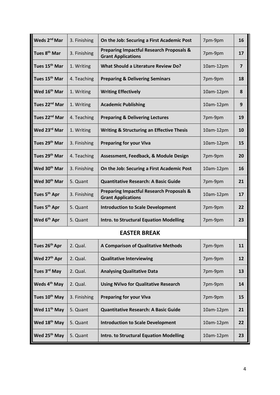| Weds 2 <sup>nd</sup> Mar  | 3. Finishing        | On the Job: Securing a First Academic Post                                       | 7pm-9pm   | 16             |  |
|---------------------------|---------------------|----------------------------------------------------------------------------------|-----------|----------------|--|
| Tues 8 <sup>th</sup> Mar  | 3. Finishing        | <b>Preparing Impactful Research Proposals &amp;</b><br><b>Grant Applications</b> | 7pm-9pm   | 17             |  |
| Tues 15 <sup>th</sup> Mar | 1. Writing          | <b>What Should a Literature Review Do?</b>                                       | 10am-12pm | $\overline{7}$ |  |
| Tues 15 <sup>th</sup> Mar | 4. Teaching         | <b>Preparing &amp; Delivering Seminars</b>                                       | 7pm-9pm   | 18             |  |
| Wed 16 <sup>th</sup> Mar  | 1. Writing          | <b>Writing Effectively</b>                                                       | 10am-12pm | 8              |  |
| Tues 22 <sup>nd</sup> Mar | 1. Writing          | <b>Academic Publishing</b>                                                       | 10am-12pm | 9              |  |
| Tues 22 <sup>nd</sup> Mar | 4. Teaching         | <b>Preparing &amp; Delivering Lectures</b>                                       | 7pm-9pm   | 19             |  |
| Wed 23rd Mar              | 1. Writing          | <b>Writing &amp; Structuring an Effective Thesis</b>                             | 10am-12pm | 10             |  |
| Tues 29 <sup>th</sup> Mar | 3. Finishing        | <b>Preparing for your Viva</b>                                                   | 10am-12pm | 15             |  |
| Tues 29 <sup>th</sup> Mar | 4. Teaching         | Assessment, Feedback, & Module Design                                            | 7pm-9pm   | 20             |  |
| Wed 30 <sup>th</sup> Mar  | 3. Finishing        | On the Job: Securing a First Academic Post                                       | 10am-12pm | 16             |  |
| Wed 30 <sup>th</sup> Mar  | 5. Quant            | <b>Quantitative Research: A Basic Guide</b>                                      | 7pm-9pm   | 21             |  |
| Tues 5 <sup>th</sup> Apr  | 3. Finishing        | <b>Preparing Impactful Research Proposals &amp;</b><br><b>Grant Applications</b> | 10am-12pm | 17             |  |
| Tues 5 <sup>th</sup> Apr  | 5. Quant            | <b>Introduction to Scale Development</b>                                         | 7pm-9pm   | 22             |  |
| Wed 6 <sup>th</sup> Apr   | 5. Quant            | <b>Intro. to Structural Equation Modelling</b>                                   | 7pm-9pm   | 23             |  |
|                           | <b>EASTER BREAK</b> |                                                                                  |           |                |  |
| Tues 26 <sup>th</sup> Apr | 2. Qual.            | <b>A Comparison of Qualitative Methods</b>                                       | 7pm-9pm   | 11             |  |
| Wed 27 <sup>th</sup> Apr  | 2. Qual.            | <b>Qualitative Interviewing</b>                                                  | 7pm-9pm   | 12             |  |
| Tues 3 <sup>rd</sup> May  | 2. Qual.            | <b>Analysing Qualitative Data</b>                                                | 7pm-9pm   | 13             |  |
| Weds 4 <sup>th</sup> May  | 2. Qual.            | <b>Using NVivo for Qualitative Research</b>                                      | 7pm-9pm   | 14             |  |
| Tues 10 <sup>th</sup> May | 3. Finishing        | <b>Preparing for your Viva</b>                                                   | 7pm-9pm   | 15             |  |
| Wed 11 <sup>th</sup> May  | 5. Quant            | <b>Quantitative Research: A Basic Guide</b>                                      | 10am-12pm | 21             |  |
| Wed 18 <sup>th</sup> May  | 5. Quant            | <b>Introduction to Scale Development</b>                                         | 10am-12pm | 22             |  |
| Wed 25 <sup>th</sup> May  | 5. Quant            | <b>Intro. to Structural Equation Modelling</b>                                   | 10am-12pm | 23             |  |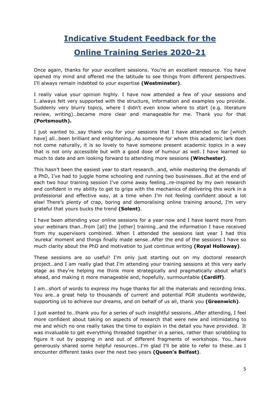# **Indicative Student Feedback for the**

## **Online Training Series 2020-21**

Once again, thanks for your excellent sessions. You're an excellent resource. You have opened my mind and offered me the latitude to see things from different perspectives. I'll always remain indebted to your expertise **(Westminster)**.

I really value your opinion highly. I have now attended a few of your sessions and I…always felt very supported with the structure, information and examples you provide. Suddenly very blurry topics, where I didn't even know where to start (e.g. literature review, writing)…became more clear and manageable for me. Thank you for that **(Portsmouth).**

I just wanted to…say thank you for your sessions that I have attended so far [which have] all…been brilliant and enlightening…As someone for whom this academic lark does not come naturally, it is so lovely to have someone present academic topics in a way that is not only accessible but with a good dose of humour as well. I have learned so much to date and am looking forward to attending more sessions **(Winchester)**.

This hasn't been the easiest year to start research…and, while mastering the demands of a PhD, I've had to juggle home schooling and running two businesses…But at the end of each two hour training session I've come away feeling…re-inspired by my own research and confident in my ability to get to grips with the mechanics of delivering this work in a professional and effective way, at a time when I'm not feeling confident about a lot else! There's plenty of crap, boring and demoralising online training around, I'm very grateful that yours bucks the trend **(Solent)**.

I have been attending your online sessions for a year now and I have learnt more from your webinars than…from [all] the [other] training…and the information I have received from my supervisors combined. When I attended the sessions last year I had this 'eureka' moment and things finally made sense…After the end of the sessions I have so much clarity about the PhD and motivation to just continue writing **(Royal Holloway)**.

These sessions are so useful! I'm only just starting out on my doctoral research project…and I am really glad that I'm attending your training sessions at this very early stage as they're helping me think more strategically and pragmatically about what's ahead, and making it more manageable and, hopefully, surmountable **(Cardiff)**.

I am…short of words to express my huge thanks for all the materials and recording links. You are…a great help to thousands of current and potential PGR students worldwide, supporting us to achieve our dreams, and on behalf of us all, thank you **(Greenwich)**.

I just wanted to…thank you for a series of such insightful sessions…After attending, I feel more confident about taking on aspects of research that were new and intimidating to me and which no one really takes the time to explain in the detail you have provided. It was invaluable to get everything threaded together in a series, rather than scrabbling to figure it out by popping in and out of different fragments of workshops. You…have generously shared some helpful resources…I'm glad I'll be able to refer to these…as I encounter different tasks over the next two years **(Queen's Belfast)**.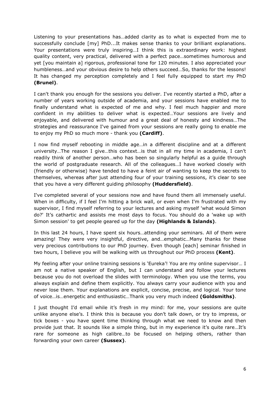Listening to your presentations has…added clarity as to what is expected from me to successfully conclude [my] PhD...It makes sense thanks to your brilliant explanations. Your presentations were truly inspiring…I think this is extraordinary work: highest quality content, very practical, delivered with a perfect pace…sometimes humorous and yet [you maintain a] rigorous, professional tone for 120 minutes. I also appreciated your humbleness…and your obvious desire to help others succeed…So, thanks for the lessons! It has changed my perception completely and I feel fully equipped to start my PhD **(Brunel)**.

I can't thank you enough for the sessions you deliver. I've recently started a PhD, after a number of years working outside of academia, and your sessions have enabled me to finally understand what is expected of me and why. I feel much happier and more confident in my abilities to deliver what is expected…Your sessions are lively and enjoyable, and delivered with humour and a great deal of honesty and kindness…The strategies and reassurance I've gained from your sessions are really going to enable me to enjoy my PhD so much more - thank you **(Cardiff)**.

I now find myself rebooting in middle age…in a different discipline and at a different university…The reason I give…this context…is that in all my time in academia, I can't readily think of another person…who has been so singularly helpful as a guide through the world of postgraduate research. All of the colleagues…I have worked closely with (friendly or otherwise) have tended to have a feint air of wanting to keep the secrets to themselves, whereas after just attending four of your training sessions, it's clear to see that you have a very different guiding philosophy **(Huddersfield)**.

I've completed several of your sessions now and have found them all immensely useful. When in difficulty, if I feel I'm hitting a brick wall, or even when I'm frustrated with my supervisor, I find myself referring to your lectures and asking myself 'what would Simon do?' It's cathartic and assists me most days to focus. You should do a 'wake up with Simon session' to get people geared up for the day **(Highlands & Islands)**.

In this last 24 hours, I have spent six hours…attending your seminars. All of them were amazing! They were very insightful, directive, and…emphatic…Many thanks for these very precious contributions to our PhD journey. Even though [each] seminar finished in two hours, I believe you will be walking with us throughout our PhD process **(Kent)**.

My feeling after your online training sessions is 'Eureka'! You are my online supervisor… I am not a native speaker of English, but I can understand and follow your lectures because you do not overload the slides with terminology. When you use the terms, you always explain and define them explicitly. You always carry your audience with you and never lose them. Your explanations are explicit, concise, precise, and logical. Your tone of voice…is…energetic and enthusiastic…Thank you very much indeed **(Goldsmiths)**.

I just thought I'd email while it's fresh in my mind: for me, your sessions are quite unlike anyone else's. I think this is because you don't talk down, or try to impress, or tick boxes - you have spent time thinking through what we need to know and then provide just that. It sounds like a simple thing, but in my experience it's quite rare…It's rare for someone as high calibre…to be focused on helping others, rather than forwarding your own career **(Sussex)**.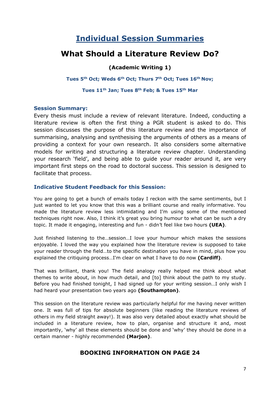# **Individual Session Summaries**

## **What Should a Literature Review Do?**

#### **(Academic Writing 1)**

**Tues 5th Oct; Weds 6th Oct; Thurs 7th Oct; Tues 16th Nov;** 

#### **Tues 11th Jan; Tues 8th Feb; & Tues 15th Mar**

#### **Session Summary:**

Every thesis must include a review of relevant literature. Indeed, conducting a literature review is often the first thing a PGR student is asked to do. This session discusses the purpose of this literature review and the importance of summarising, analysing and synthesising the arguments of others as a means of providing a context for your own research. It also considers some alternative models for writing and structuring a literature review chapter. Understanding your research 'field', and being able to guide your reader around it, are very important first steps on the road to doctoral success. This session is designed to facilitate that process.

#### **Indicative Student Feedback for this Session:**

You are going to get a bunch of emails today I reckon with the same sentiments, but I just wanted to let you know that this was a brilliant course and really informative. You made the literature review less intimidating and I'm using some of the mentioned techniques right now. Also, I think it's great you bring humour to what can be such a dry topic. It made it engaging, interesting and fun - didn't feel like two hours **(UEA)**.

Just finished listening to the…session…I love your humour which makes the sessions enjoyable. I loved the way you explained how the literature review is supposed to take your reader through the field…to the specific destination you have in mind, plus how you explained the critiquing process…I'm clear on what I have to do now **(Cardiff)**.

That was brilliant, thank you! The field analogy really helped me think about what themes to write about, in how much detail, and [to] think about the path to my study. Before you had finished tonight, I had signed up for your writing session…I only wish I had heard your presentation two years ago **(Southampton)**.

This session on the literature review was particularly helpful for me having never written one. It was full of tips for absolute beginners (like reading the literature reviews of others in my field straight away!). It was also very detailed about exactly what should be included in a literature review, how to plan, organise and structure it and, most importantly, 'why' all these elements should be done and 'why' they should be done in a certain manner - highly recommended **(Marjon)**.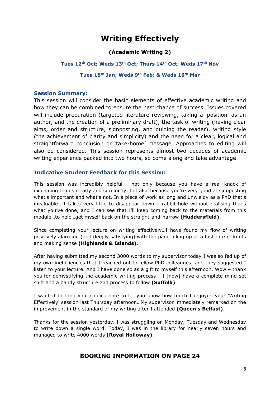# **Writing Effectively**

#### **(Academic Writing 2)**

#### **Tues 12th Oct; Weds 13th Oct; Thurs 14th Oct; Weds 17th Nov**

#### **Tues 18th Jan; Weds 9th Feb; & Weds 16th Mar**

#### **Session Summary:**

This session will consider the basic elements of effective academic writing and how they can be combined to ensure the best chance of success. Issues covered will include preparation (targeted literature reviewing, taking a 'position' as an author, and the creation of a preliminary draft), the task of writing (having clear aims, order and structure, signposting, and guiding the reader), writing style (the achievement of clarity and simplicity) and the need for a clear, logical and straightforward conclusion or 'take-home' message. Approaches to editing will also be considered. This session represents almost two decades of academic writing experience packed into two hours, so come along and take advantage!

#### **Indicative Student Feedback for this Session:**

This session was incredibly helpful - not only because you have a real knack of explaining things clearly and succinctly, but also because you're very good at signposting what's important and what's not. In a piece of work as long and unwieldy as a PhD that's invaluable: it takes very little to disappear down a rabbit-hole without realising that's what you've done, and I can see that I'll keep coming back to the materials from this module…to help…get myself back on the straight-and-narrow **(Huddersfield)**.

Since completing your lecture on writing effectively…I have found my flow of writing positively alarming (and deeply satisfying) with the page filling up at a fast rate of knots and making sense **(Highlands & Islands)**.

After having submitted my second 3000 words to my supervisor today I was so fed up of my own inefficiencies that I reached out to fellow PhD colleagues…and they suggested I listen to your lecture. And I have done so as a gift to myself this afternoon. Wow – thank you for demystifying the academic writing process - I [now] have a complete mind set shift and a handy structure and process to follow **(Suffolk)**.

I wanted to drop you a quick note to let you know how much I enjoyed your 'Writing Effectively' session last Thursday afternoon…My supervisor immediately remarked on the improvement in the standard of my writing after I attended **(Queen's Belfast)**.

Thanks for the session yesterday. I was struggling on Monday, Tuesday and Wednesday to write down a single word. Today, I was in the library for nearly seven hours and managed to write 4000 words **(Royal Holloway)**.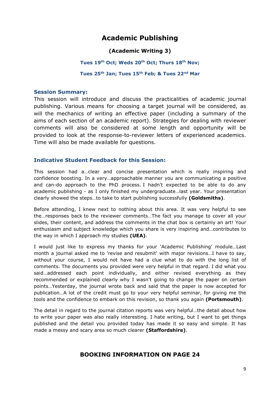## **Academic Publishing**

#### **(Academic Writing 3)**

#### **Tues 19th Oct; Weds 20th Oct; Thurs 18th Nov;**

#### **Tues 25th Jan; Tues 15th Feb; & Tues 22nd Mar**

#### **Session Summary:**

This session will introduce and discuss the practicalities of academic journal publishing. Various means for choosing a target journal will be considered, as will the mechanics of writing an effective paper (including a summary of the aims of each section of an academic report). Strategies for dealing with reviewer comments will also be considered at some length and opportunity will be provided to look at the response-to-reviewer letters of experienced academics. Time will also be made available for questions.

#### **Indicative Student Feedback for this Session:**

This session had a…clear and concise presentation which is really inspiring and confidence boosting. In a very…approachable manner you are communicating a positive and can-do approach to the PhD process. I hadn't expected to be able to do any academic publishing - as I only finished my undergraduate…last year. Your presentation clearly showed the steps…to take to start publishing successfully **(Goldsmiths)**.

Before attending, I knew next to nothing about this area. It was very helpful to see the…responses back to the reviewer comments…The fact you manage to cover all your slides, their content, and address the comments in the chat box is certainly an art! Your enthusiasm and subject knowledge which you share is very inspiring and…contributes to the way in which I approach my studies **(UEA)**.

I would just like to express my thanks for your 'Academic Publishing' module…Last month a journal asked me to 'revise and resubmit' with major revisions…I have to say, without your course, I would not have had a clue what to do with the long list of comments. The documents you provided were very helpful in that regard. I did what you said…addressed each point individually, and either revised everything as they recommended or explained clearly why I wasn't going to change the paper on certain points…Yesterday, the journal wrote back and said that the paper is now accepted for publication…A lot of the credit must go to your very helpful seminar, for giving me the tools and the confidence to embark on this revision, so thank you again **(Portsmouth)**.

The detail in regard to the journal citation reports was very helpful…the detail about how to write your paper was also really interesting. I hate writing, but I want to get things published and the detail you provided today has made it so easy and simple. It has made a messy and scary area so much clearer **(Staffordshire)**.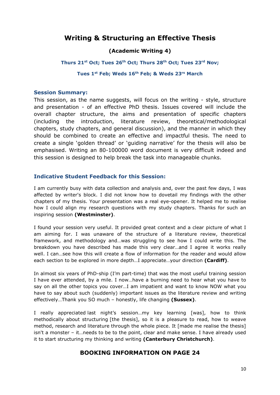## **Writing & Structuring an Effective Thesis**

#### **(Academic Writing 4)**

#### **Thurs 21st Oct; Tues 26th Oct; Thurs 28th Oct; Tues 23rd Nov;**

#### **Tues 1st Feb; Weds 16th Feb; & Weds 23rs March**

#### **Session Summary:**

This session, as the name suggests, will focus on the writing - style, structure and presentation - of an effective PhD thesis. Issues covered will include the overall chapter structure, the aims and presentation of specific chapters (including the introduction, literature review, theoretical/methodological chapters, study chapters, and general discussion), and the manner in which they should be combined to create an effective and impactful thesis. The need to create a single 'golden thread' or 'guiding narrative' for the thesis will also be emphasised. Writing an 80-100000 word document is very difficult indeed and this session is designed to help break the task into manageable chunks.

#### **Indicative Student Feedback for this Session:**

I am currently busy with data collection and analysis and, over the past few days, I was affected by writer's block. I did not know how to dovetail my findings with the other chapters of my thesis. Your presentation was a real eye-opener. It helped me to realise how I could align my research questions with my study chapters. Thanks for such an inspiring session **(Westminster)**.

I found your session very useful. It provided great context and a clear picture of what I am aiming for. I was unaware of the structure of a literature review, theoretical framework, and methodology and…was struggling to see how I could write this. The breakdown you have described has made this very clear…and I agree it works really well. I can…see how this will create a flow of information for the reader and would allow each section to be explored in more depth…I appreciate…your direction **(Cardiff)**.

In almost six years of PhD-ship (I'm part-time) that was the most useful training session I have ever attended, by a mile. I now…have a burning need to hear what you have to say on all the other topics you cover…I am impatient and want to know NOW what you have to say about such (suddenly) important issues as the literature review and writing effectively…Thank you SO much – honestly, life changing **(Sussex)**.

I really appreciated last night's session…my key learning [was], how to think methodically about structuring [the thesis], so it is a pleasure to read, how to weave method, research and literature through the whole piece. It [made me realise the thesis] isn't a monster – it…needs to be to the point, clear and make sense. I have already used it to start structuring my thinking and writing **(Canterbury Christchurch)**.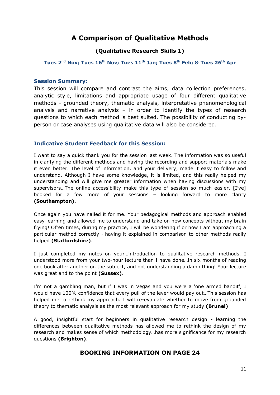## **A Comparison of Qualitative Methods**

#### **(Qualitative Research Skills 1)**

**Tues 2nd Nov; Tues 16th Nov; Tues 11th Jan; Tues 8th Feb; & Tues 26th Apr**

#### **Session Summary:**

This session will compare and contrast the aims, data collection preferences, analytic style, limitations and appropriate usage of four different qualitative methods - grounded theory, thematic analysis, interpretative phenomenological analysis and narrative analysis – in order to identify the types of research questions to which each method is best suited. The possibility of conducting byperson or case analyses using qualitative data will also be considered.

#### **Indicative Student Feedback for this Session:**

I want to say a quick thank you for the session last week. The information was so useful in clarifying the different methods and having the recording and support materials make it even better. The level of information, and your delivery, made it easy to follow and understand. Although I have some knowledge, it is limited, and this really helped my understanding and will give me greater information when having discussions with my supervisors…The online accessibility make this type of session so much easier. [I've] booked for a few more of your sessions – looking forward to more clarity **(Southampton)**.

Once again you have nailed it for me. Your pedagogical methods and approach enabled easy learning and allowed me to understand and take on new concepts without my brain frying! Often times, during my practice, I will be wondering if or how I am approaching a particular method correctly - having it explained in comparison to other methods really helped **(Staffordshire)**.

I just completed my notes on your…introduction to qualitative research methods. I understood more from your two-hour lecture than I have done…in six months of reading one book after another on the subject, and not understanding a damn thing! Your lecture was great and to the point **(Sussex)**.

I'm not a gambling man, but if I was in Vegas and you were a 'one armed bandit', I would have 100% confidence that every pull of the lever would pay out…This session has helped me to rethink my approach. I will re-evaluate whether to move from grounded theory to thematic analysis as the most relevant approach for my study **(Brunel)**.

A good, insightful start for beginners in qualitative research design - learning the differences between qualitative methods has allowed me to rethink the design of my research and makes sense of which methodology…has more significance for my research questions **(Brighton)**.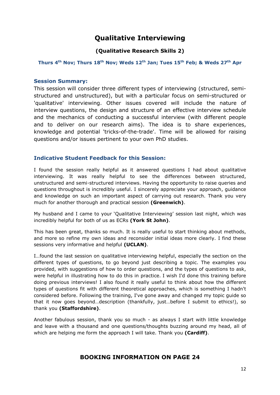## **Qualitative Interviewing**

#### **(Qualitative Research Skills 2)**

#### **Thurs 4th Nov; Thurs 18th Nov; Weds 12th Jan; Tues 15th Feb; & Weds 27th Apr**

#### **Session Summary:**

This session will consider three different types of interviewing (structured, semistructured and unstructured), but with a particular focus on semi-structured or 'qualitative' interviewing. Other issues covered will include the nature of interview questions, the design and structure of an effective interview schedule and the mechanics of conducting a successful interview (with different people and to deliver on our research aims). The idea is to share experiences, knowledge and potential 'tricks-of-the-trade'. Time will be allowed for raising questions and/or issues pertinent to your own PhD studies.

#### **Indicative Student Feedback for this Session:**

I found the session really helpful as it answered questions I had about qualitative interviewing. It was really helpful to see the differences between structured, unstructured and semi-structured interviews. Having the opportunity to raise queries and questions throughout is incredibly useful. I sincerely appreciate your approach, guidance and knowledge on such an important aspect of carrying out research. Thank you very much for another thorough and practical session **(Greenwich)**.

My husband and I came to your 'Qualitative Interviewing' session last night, which was incredibly helpful for both of us as ECRs **(York St John)**.

This has been great, thanks so much. It is really useful to start thinking about methods, and more so refine my own ideas and reconsider initial ideas more clearly. I find these sessions very informative and helpful **(UCLAN)**.

I…found the last session on qualitative interviewing helpful, especially the section on the different types of questions, to go beyond just describing a topic. The examples you provided, with suggestions of how to order questions, and the types of questions to ask, were helpful in illustrating how to do this in practice. I wish I'd done this training before doing previous interviews! I also found it really useful to think about how the different types of questions fit with different theoretical approaches, which is something I hadn't considered before. Following the training, I've gone away and changed my topic guide so that it now goes beyond…description (thankfully, just…before I submit to ethics!), so thank you **(Staffordshire)**.

Another fabulous session, thank you so much - as always I start with little knowledge and leave with a thousand and one questions/thoughts buzzing around my head, all of which are helping me form the approach I will take. Thank you **(Cardiff)**.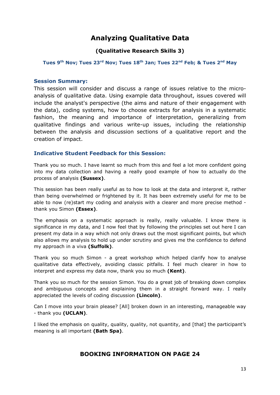## **Analyzing Qualitative Data**

#### **(Qualitative Research Skills 3)**

#### **Tues 9th Nov; Tues 23rd Nov; Tues 18th Jan; Tues 22nd Feb; & Tues 2nd May**

#### **Session Summary:**

This session will consider and discuss a range of issues relative to the microanalysis of qualitative data. Using example data throughout, issues covered will include the analyst's perspective (the aims and nature of their engagement with the data), coding systems, how to choose extracts for analysis in a systematic fashion, the meaning and importance of interpretation, generalizing from qualitative findings and various write-up issues, including the relationship between the analysis and discussion sections of a qualitative report and the creation of impact.

#### **Indicative Student Feedback for this Session:**

Thank you so much. I have learnt so much from this and feel a lot more confident going into my data collection and having a really good example of how to actually do the process of analysis **(Sussex)**.

This session has been really useful as to how to look at the data and interpret it, rather than being overwhelmed or frightened by it. It has been extremely useful for me to be able to now (re)start my coding and analysis with a clearer and more precise method thank you Simon **(Essex)**.

The emphasis on a systematic approach is really, really valuable. I know there is significance in my data, and I now feel that by following the principles set out here I can present my data in a way which not only draws out the most significant points, but which also allows my analysis to hold up under scrutiny and gives me the confidence to defend my approach in a viva **(Suffolk)**.

Thank you so much Simon - a great workshop which helped clarify how to analyse qualitative data effectively, avoiding classic pitfalls. I feel much clearer in how to interpret and express my data now, thank you so much **(Kent)**.

Thank you so much for the session Simon. You do a great job of breaking down complex and ambiguous concepts and explaining them in a straight forward way. I really appreciated the levels of coding discussion **(Lincoln)**.

Can I move into your brain please? [All] broken down in an interesting, manageable way - thank you **(UCLAN)**.

I liked the emphasis on quality, quality, quality, not quantity, and [that] the participant's meaning is all important **(Bath Spa)**.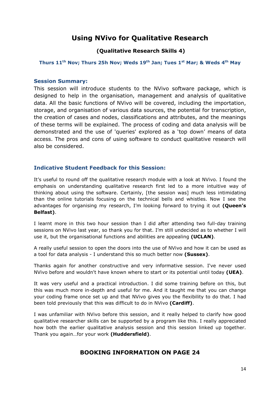## **Using NVivo for Qualitative Research**

#### **(Qualitative Research Skills 4)**

#### **Thurs 11th Nov; Thurs 25h Nov; Weds 19th Jan; Tues 1st Mar; & Weds 4th May**

#### **Session Summary:**

This session will introduce students to the NVivo software package, which is designed to help in the organisation, management and analysis of qualitative data. All the basic functions of NVivo will be covered, including the importation, storage, and organisation of various data sources, the potential for transcription, the creation of cases and nodes, classifications and attributes, and the meanings of these terms will be explained. The process of coding and data analysis will be demonstrated and the use of 'queries' explored as a 'top down' means of data access. The pros and cons of using software to conduct qualitative research will also be considered.

#### **Indicative Student Feedback for this Session:**

It's useful to round off the qualitative research module with a look at NVivo. I found the emphasis on understanding qualitative research first led to a more intuitive way of thinking about using the software. Certainly, [the session was] much less intimidating than the online tutorials focusing on the technical bells and whistles. Now I see the advantages for organising my research, I'm looking forward to trying it out **(Queen's Belfast)**.

I learnt more in this two hour session than I did after attending two full-day training sessions on NVivo last year, so thank you for that. I'm still undecided as to whether I will use it, but the organisational functions and abilities are appealing **(UCLAN)**.

A really useful session to open the doors into the use of NVivo and how it can be used as a tool for data analysis - I understand this so much better now **(Sussex)**.

Thanks again for another constructive and very informative session. I've never used NVivo before and wouldn't have known where to start or its potential until today **(UEA)**.

It was very useful and a practical introduction. I did some training before on this, but this was much more in-depth and useful for me. And it taught me that you can change your coding frame once set up and that NVivo gives you the flexibility to do that. I had been told previously that this was difficult to do in NVivo **(Cardiff)**.

I was unfamiliar with NVivo before this session, and it really helped to clarify how good qualitative researcher skills can be supported by a program like this. I really appreciated how both the earlier qualitative analysis session and this session linked up together. Thank you again…for your work **(Huddersfield)**.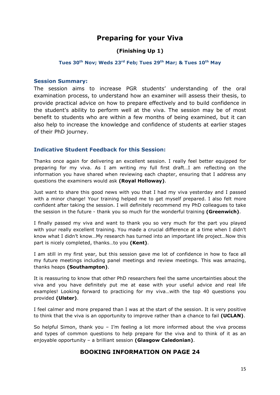## **Preparing for your Viva**

#### **(Finishing Up 1)**

#### **Tues 30th Nov; Weds 23rd Feb; Tues 29th Mar; & Tues 10th May**

#### **Session Summary:**

The session aims to increase PGR students' understanding of the oral examination process, to understand how an examiner will assess their thesis, to provide practical advice on how to prepare effectively and to build confidence in the student's ability to perform well at the viva. The session may be of most benefit to students who are within a few months of being examined, but it can also help to increase the knowledge and confidence of students at earlier stages of their PhD journey.

#### **Indicative Student Feedback for this Session:**

Thanks once again for delivering an excellent session. I really feel better equipped for preparing for my viva. As I am writing my full first draft…I am reflecting on the information you have shared when reviewing each chapter, ensuring that I address any questions the examiners would ask **(Royal Holloway)**.

Just want to share this good news with you that I had my viva yesterday and I passed with a minor change! Your training helped me to get myself prepared. I also felt more confident after taking the session. I will definitely recommend my PhD colleagues to take the session in the future - thank you so much for the wonderful training **(Greenwich)**.

I finally passed my viva and want to thank you so very much for the part you played with your really excellent training. You made a crucial difference at a time when I didn't know what I didn't know…My research has turned into an important life project…Now this part is nicely completed, thanks…to you **(Kent)**.

I am still in my first year, but this session gave me lot of confidence in how to face all my future meetings including panel meetings and review meetings. This was amazing, thanks heaps **(Southampton)**.

It is reassuring to know that other PhD researchers feel the same uncertainties about the viva and you have definitely put me at ease with your useful advice and real life examples! Looking forward to practicing for my viva…with the top 40 questions you provided **(Ulster)**.

I feel calmer and more prepared than I was at the start of the session. It is very positive to think that the viva is an opportunity to improve rather than a chance to fail **(UCLAN)**.

So helpful Simon, thank you  $-$  I'm feeling a lot more informed about the viva process and types of common questions to help prepare for the viva and to think of it as an enjoyable opportunity – a brilliant session **(Glasgow Caledonian)**.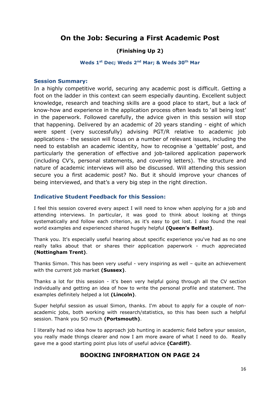## **On the Job: Securing a First Academic Post**

#### **(Finishing Up 2)**

#### **Weds 1st Dec; Weds 2nd Mar; & Weds 30th Mar**

#### **Session Summary:**

In a highly competitive world, securing any academic post is difficult. Getting a foot on the ladder in this context can seem especially daunting. Excellent subject knowledge, research and teaching skills are a good place to start, but a lack of know-how and experience in the application process often leads to 'all being lost' in the paperwork. Followed carefully, the advice given in this session will stop that happening. Delivered by an academic of 20 years standing - eight of which were spent (very successfully) advising PGT/R relative to academic job applications - the session will focus on a number of relevant issues, including the need to establish an academic identity, how to recognise a 'gettable' post, and particularly the generation of effective and job-tailored application paperwork (including CV's, personal statements, and covering letters). The structure and nature of academic interviews will also be discussed. Will attending this session secure you a first academic post? No. But it should improve your chances of being interviewed, and that's a very big step in the right direction.

#### **Indicative Student Feedback for this Session:**

I feel this session covered every aspect I will need to know when applying for a job and attending interviews. In particular, it was good to think about looking at things systematically and follow each criterion, as it's easy to get lost. I also found the real world examples and experienced shared hugely helpful **(Queen's Belfast)**.

Thank you. It's especially useful hearing about specific experience you've had as no one really talks about that or shares their application paperwork - much appreciated **(Nottingham Trent)**.

Thanks Simon. This has been very useful - very inspiring as well – quite an achievement with the current job market **(Sussex)**.

Thanks a lot for this session - it's been very helpful going through all the CV section individually and getting an idea of how to write the personal profile and statement. The examples definitely helped a lot **(Lincoln)**.

Super helpful session as usual Simon, thanks. I'm about to apply for a couple of nonacademic jobs, both working with research/statistics, so this has been such a helpful session. Thank you SO much **(Portsmouth)**.

I literally had no idea how to approach job hunting in academic field before your session, you really made things clearer and now I am more aware of what I need to do. Really gave me a good starting point plus lots of useful advice **(Cardiff)**.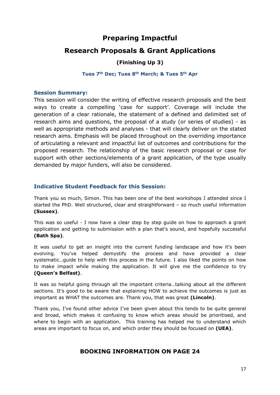## **Preparing Impactful**

### **Research Proposals & Grant Applications**

#### **(Finishing Up 3)**

#### **Tues 7th Dec; Tues 8th March; & Tues 5th Apr**

#### **Session Summary:**

This session will consider the writing of effective research proposals and the best ways to create a compelling 'case for support'. Coverage will include the generation of a clear rationale, the statement of a defined and delimited set of research aims and questions, the proposal of a study (or series of studies) - as well as appropriate methods and analyses - that will clearly deliver on the stated research aims. Emphasis will be placed throughout on the overriding importance of articulating a relevant and impactful list of outcomes and contributions for the proposed research. The relationship of the basic research proposal or case for support with other sections/elements of a grant application, of the type usually demanded by major funders, will also be considered.

#### **Indicative Student Feedback for this Session:**

Thank you so much, Simon. This has been one of the best workshops I attended since I started the PhD. Well structured, clear and straightforward – so much useful information **(Sussex)**.

This was so useful - I now have a clear step by step guide on how to approach a grant application and getting to submission with a plan that's sound, and hopefully successful **(Bath Spa)**.

It was useful to get an insight into the current funding landscape and how it's been evolving. You've helped demystify the process and have provided a clear systematic…guide to help with this process in the future. I also liked the points on how to make impact while making the application. It will give me the confidence to try **(Queen's Belfast)**.

It was so helpful going through all the important criteria…talking about all the different sections. It's good to be aware that explaining HOW to achieve the outcomes is just as important as WHAT the outcomes are. Thank you, that was great **(Lincoln)**.

Thank you, I've found other advice I've been given about this tends to be quite general and broad, which makes it confusing to know which areas should be prioritised, and where to begin with an application. This training has helped me to understand which areas are important to focus on, and which order they should be focused on **(UEA)**.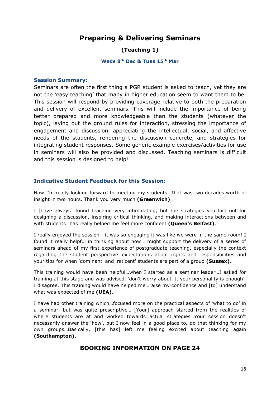## **Preparing & Delivering Seminars**

#### **(Teaching 1)**

#### **Weds 8th Dec & Tues 15th Mar**

#### **Session Summary:**

Seminars are often the first thing a PGR student is asked to teach, yet they are not the 'easy teaching' that many in higher education seem to want them to be. This session will respond by providing coverage relative to both the preparation and delivery of excellent seminars. This will include the importance of being better prepared and more knowledgeable than the students (whatever the topic), laying out the ground rules for interaction, stressing the importance of engagement and discussion, appreciating the intellectual, social, and affective needs of the students, rendering the discussion concrete, and strategies for integrating student responses. Some generic example exercises/activities for use in seminars will also be provided and discussed. Teaching seminars is difficult and this session is designed to help!

#### **Indicative Student Feedback for this Session:**

Now I'm really looking forward to meeting my students. That was two decades worth of insight in two hours. Thank you very much **(Greenwich)**.

I [have always] found teaching very intimidating, but the strategies you laid out for designing a discussion, inspiring critical thinking, and making interactions between and with students…has really helped me feel more confident **(Queen's Belfast)**.

I really enjoyed the session - it was so engaging it was like we were in the same room! I found it really helpful in thinking about how I might support the delivery of a series of seminars ahead of my first experience of postgraduate teaching, especially the context regarding the student perspective…expectations about rights and responsibilities and your tips for when 'dominant' and 'reticent' students are part of a group **(Sussex)**.

This training would have been helpful…when I started as a seminar leader…I asked for training at this stage and was advised, 'don't worry about it, your personality is enough'. I disagree. This training would have helped me…raise my confidence and [to] understand what was expected of me **(UEA)**.

I have had other training which…focused more on the practical aspects of 'what to do' in a seminar, but was quite prescriptive… [Your] approach started from the realities of where students are at and worked towards…actual strategies…Your session doesn't necessarily answer the 'how', but I now feel in a good place to…do that thinking for my own groups…Basically, [this has] left me feeling excited about teaching again **(Southampton).**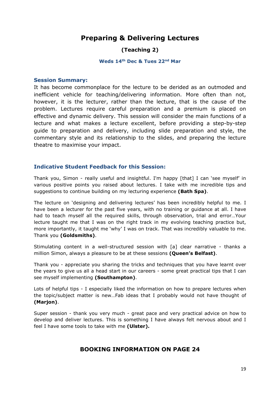## **Preparing & Delivering Lectures**

#### **(Teaching 2)**

#### **Weds 14th Dec & Tues 22nd Mar**

#### **Session Summary:**

It has become commonplace for the lecture to be derided as an outmoded and inefficient vehicle for teaching/delivering information. More often than not, however, it is the lecturer, rather than the lecture, that is the cause of the problem. Lectures require careful preparation and a premium is placed on effective and dynamic delivery. This session will consider the main functions of a lecture and what makes a lecture excellent, before providing a step-by-step guide to preparation and delivery, including slide preparation and style, the commentary style and its relationship to the slides, and preparing the lecture theatre to maximise your impact.

#### **Indicative Student Feedback for this Session:**

Thank you, Simon - really useful and insightful. I'm happy [that] I can 'see myself' in various positive points you raised about lectures. I take with me incredible tips and suggestions to continue building on my lecturing experience **(Bath Spa)**.

The lecture on 'designing and delivering lectures' has been incredibly helpful to me. I have been a lecturer for the past five years, with no training or guidance at all. I have had to teach myself all the required skills, through observation, trial and error…Your lecture taught me that I was on the right track in my evolving teaching practice but, more importantly, it taught me 'why' I was on track. That was incredibly valuable to me. Thank you **(Goldsmiths)**.

Stimulating content in a well-structured session with [a] clear narrative - thanks a million Simon, always a pleasure to be at these sessions **(Queen's Belfast)**.

Thank you - appreciate you sharing the tricks and techniques that you have learnt over the years to give us all a head start in our careers - some great practical tips that I can see myself implementing **(Southampton)**.

Lots of helpful tips - I especially liked the information on how to prepare lectures when the topic/subject matter is new…Fab ideas that I probably would not have thought of **(Marjon)**.

Super session - thank you very much - great pace and very practical advice on how to develop and deliver lectures. This is something I have always felt nervous about and I feel I have some tools to take with me **(Ulster).**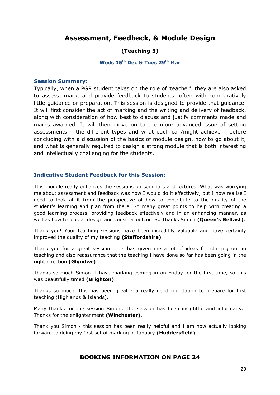## **Assessment, Feedback, & Module Design**

#### **(Teaching 3)**

#### **Weds 15th Dec & Tues 29th Mar**

#### **Session Summary:**

Typically, when a PGR student takes on the role of 'teacher', they are also asked to assess, mark, and provide feedback to students, often with comparatively little guidance or preparation. This session is designed to provide that guidance. It will first consider the act of marking and the writing and delivery of feedback, along with consideration of how best to discuss and justify comments made and marks awarded. It will then move on to the more advanced issue of setting assessments – the different types and what each can/might achieve – before concluding with a discussion of the basics of module design, how to go about it, and what is generally required to design a strong module that is both interesting and intellectually challenging for the students.

#### **Indicative Student Feedback for this Session:**

This module really enhances the sessions on seminars and lectures. What was worrying me about assessment and feedback was how I would do it effectively, but I now realise I need to look at it from the perspective of how to contribute to the quality of the student's learning and plan from there. So many great points to help with creating a good learning process, providing feedback effectively and in an enhancing manner, as well as how to look at design and consider outcomes. Thanks Simon **(Queen's Belfast)**.

Thank you! Your teaching sessions have been incredibly valuable and have certainly improved the quality of my teaching **(Staffordshire)**.

Thank you for a great session. This has given me a lot of ideas for starting out in teaching and also reassurance that the teaching I have done so far has been going in the right direction **(Glyndwr)**.

Thanks so much Simon. I have marking coming in on Friday for the first time, so this was beautifully timed **(Brighton)**.

Thanks so much, this has been great - a really good foundation to prepare for first teaching (Highlands & Islands).

Many thanks for the session Simon. The session has been insightful and informative. Thanks for the enlightenment **(Winchester)**.

Thank you Simon - this session has been really helpful and I am now actually looking forward to doing my first set of marking in January **(Huddersfield)**.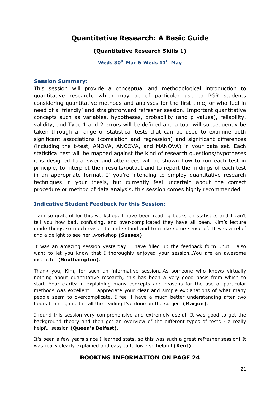## **Quantitative Research: A Basic Guide**

#### **(Quantitative Research Skills 1)**

**Weds 30th Mar & Weds 11th May**

#### **Session Summary:**

This session will provide a conceptual and methodological introduction to quantitative research, which may be of particular use to PGR students considering quantitative methods and analyses for the first time, or who feel in need of a 'friendly' and straightforward refresher session. Important quantitative concepts such as variables, hypotheses, probability (and p values), reliability, validity, and Type 1 and 2 errors will be defined and a tour will subsequently be taken through a range of statistical tests that can be used to examine both significant associations (correlation and regression) and significant differences (including the t-test, ANOVA, ANCOVA, and MANOVA) in your data set. Each statistical test will be mapped against the kind of research questions/hypotheses it is designed to answer and attendees will be shown how to run each test in principle, to interpret their results/output and to report the findings of each test in an appropriate format. If you're intending to employ quantitative research techniques in your thesis, but currently feel uncertain about the correct procedure or method of data analysis, this session comes highly recommended.

#### **Indicative Student Feedback for this Session:**

I am so grateful for this workshop, I have been reading books on statistics and I can't tell you how bad, confusing, and over-complicated they have all been. Kim's lecture made things so much easier to understand and to make some sense of. It was a relief and a delight to see her…workshop **(Sussex)**.

It was an amazing session yesterday…I have filled up the feedback form….but I also want to let you know that I thoroughly enjoyed your session…You are an awesome instructor **(Southampton)**.

Thank you, Kim, for such an informative session…As someone who knows virtually nothing about quantitative research, this has been a very good basis from which to start…Your clarity in explaining many concepts and reasons for the use of particular methods was excellent…I appreciate your clear and simple explanations of what many people seem to overcomplicate. I feel I have a much better understanding after two hours than I gained in all the reading I've done on the subject **(Marjon)**.

I found this session very comprehensive and extremely useful. It was good to get the background theory and then get an overview of the different types of tests - a really helpful session **(Queen's Belfast)**.

It's been a few years since I learned stats, so this was such a great refresher session! It was really clearly explained and easy to follow - so helpful **(Kent)**.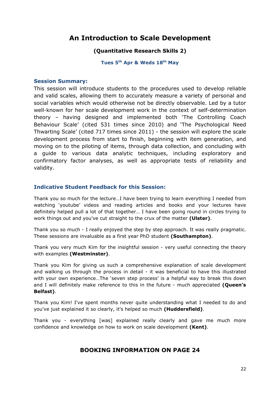## **An Introduction to Scale Development**

#### **(Quantitative Research Skills 2)**

**Tues 5th Apr & Weds 18th May**

#### **Session Summary:**

This session will introduce students to the procedures used to develop reliable and valid scales, allowing them to accurately measure a variety of personal and social variables which would otherwise not be directly observable. Led by a tutor well-known for her scale development work in the context of self-determination theory – having designed and implemented both 'The Controlling Coach Behaviour Scale' (cited 531 times since 2010) and 'The Psychological Need Thwarting Scale' (cited 717 times since 2011) - the session will explore the scale development process from start to finish, beginning with item generation, and moving on to the piloting of items, through data collection, and concluding with a guide to various data analytic techniques, including exploratory and confirmatory factor analyses, as well as appropriate tests of reliability and validity.

#### **Indicative Student Feedback for this Session:**

Thank you so much for the lecture…I have been trying to learn everything I needed from watching 'youtube' videos and reading articles and books and your lectures have definitely helped pull a lot of that together… I have been going round in circles trying to work things out and you've cut straight to the crux of the matter **(Ulster)**.

Thank you so much - I really enjoyed the step by step approach. It was really pragmatic. These sessions are invaluable as a first year PhD student **(Southampton)**.

Thank you very much Kim for the insightful session - very useful connecting the theory with examples **(Westminster)**.

Thank you Kim for giving us such a comprehensive explanation of scale development and walking us through the process in detail - it was beneficial to have this illustrated with your own experience…The 'seven step process' is a helpful way to break this down and I will definitely make reference to this in the future - much appreciated **(Queen's Belfast)**.

Thank you Kim! I've spent months never quite understanding what I needed to do and you've just explained it so clearly, it's helped so much **(Huddersfield)**.

Thank you - everything [was] explained really clearly and gave me much more confidence and knowledge on how to work on scale development **(Kent)**.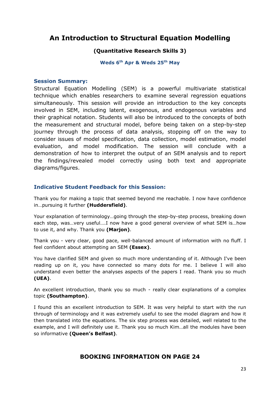## **An Introduction to Structural Equation Modelling**

#### **(Quantitative Research Skills 3)**

**Weds 6th Apr & Weds 25th May** 

#### **Session Summary:**

Structural Equation Modelling (SEM) is a powerful multivariate statistical technique which enables researchers to examine several regression equations simultaneously. This session will provide an introduction to the key concepts involved in SEM, including latent, exogenous, and endogenous variables and their graphical notation. Students will also be introduced to the concepts of both the measurement and structural model, before being taken on a step-by-step journey through the process of data analysis, stopping off on the way to consider issues of model specification, data collection, model estimation, model evaluation, and model modification. The session will conclude with a demonstration of how to interpret the output of an SEM analysis and to report the findings/revealed model correctly using both text and appropriate diagrams/figures.

#### **Indicative Student Feedback for this Session:**

Thank you for making a topic that seemed beyond me reachable. I now have confidence in…pursuing it further **(Huddersfield)**.

Your explanation of terminology…going through the step-by-step process, breaking down each step, was…very useful….I now have a good general overview of what SEM is…how to use it, and why. Thank you **(Marjon)**.

Thank you - very clear, good pace, well-balanced amount of information with no fluff. I feel confident about attempting an SEM **(Essex)**.

You have clarified SEM and given so much more understanding of it. Although I've been reading up on it, you have connected so many dots for me. I believe I will also understand even better the analyses aspects of the papers I read. Thank you so much **(UEA)**.

An excellent introduction, thank you so much - really clear explanations of a complex topic **(Southampton)**.

I found this an excellent introduction to SEM. It was very helpful to start with the run through of terminology and it was extremely useful to see the model diagram and how it then translated into the equations. The six step process was detailed, well related to the example, and I will definitely use it. Thank you so much Kim…all the modules have been so informative **(Queen's Belfast)**.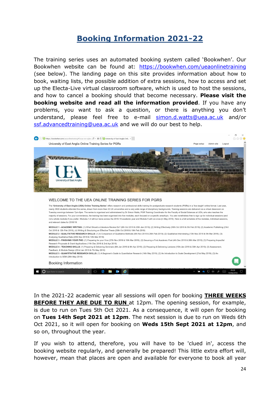# **Booking Information 2021-22**

The training series uses an automated booking system called 'Bookwhen'. Our Bookwhen website can be found at: <https://bookwhen.com/ueaonlinetraining> (see below). The landing page on this site provides information about how to book, waiting lists, the possible addition of extra sessions, how to access and set up the Electa-Live virtual classroom software, which is used to host the sessions, and how to cancel a booking should that become necessary. **Please visit the booking website and read all the information provided**. If you have any problems, you want to ask a question, or there is anything you don't understand, please feel free to e-mail [simon.d.watts@uea.ac.uk](mailto:simon.d.watts@uea.ac.uk) and/or [ssf.advancedtraining@uea.ac.uk](mailto:ssf.advancedtraining@uea.ac.uk) and we will do our best to help.



In the 2021-22 academic year all sessions will open for booking **THREE WEEKS BEFORE THEY ARE DUE TO RUN** at 12pm. The opening session, for example, is due to run on Tues 5th Oct 2021. As a consequence, it will open for booking on **Tues 14th Sept 2021 at 12pm**. The next session is due to run on Weds 6th Oct 2021, so it will open for booking on **Weds 15th Sept 2021 at 12pm**, and so on, throughout the year.

If you wish to attend, therefore, you will have to be 'clued in', access the booking website regularly, and generally be prepared! This little extra effort will, however, mean that places are open and available for everyone to book all year